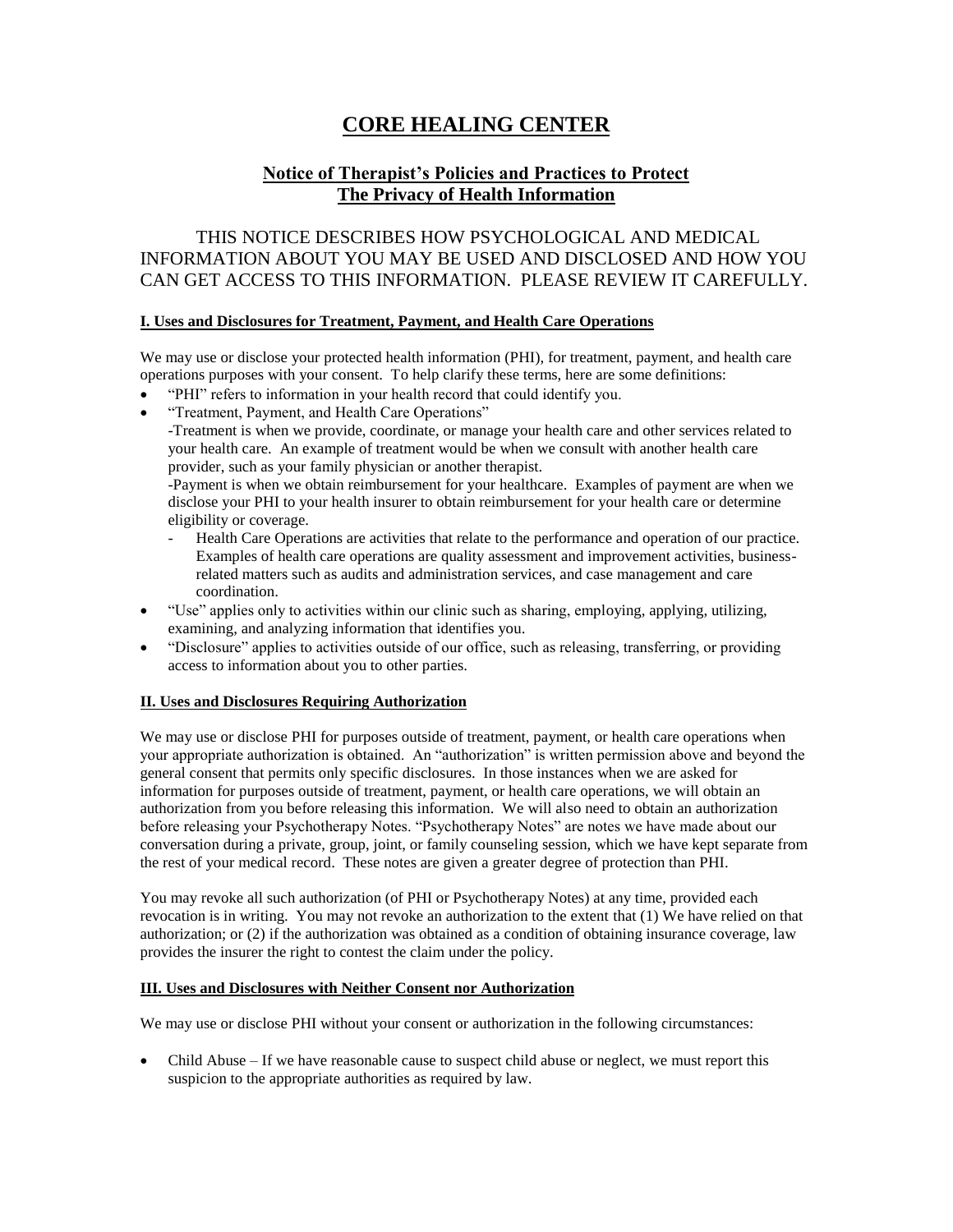# **CORE HEALING CENTER**

# **Notice of Therapist's Policies and Practices to Protect The Privacy of Health Information**

# THIS NOTICE DESCRIBES HOW PSYCHOLOGICAL AND MEDICAL INFORMATION ABOUT YOU MAY BE USED AND DISCLOSED AND HOW YOU CAN GET ACCESS TO THIS INFORMATION. PLEASE REVIEW IT CAREFULLY.

## **I. Uses and Disclosures for Treatment, Payment, and Health Care Operations**

We may use or disclose your protected health information (PHI), for treatment, payment, and health care operations purposes with your consent. To help clarify these terms, here are some definitions:

- "PHI" refers to information in your health record that could identify you.
- "Treatment, Payment, and Health Care Operations"

-Treatment is when we provide, coordinate, or manage your health care and other services related to your health care. An example of treatment would be when we consult with another health care provider, such as your family physician or another therapist.

-Payment is when we obtain reimbursement for your healthcare. Examples of payment are when we disclose your PHI to your health insurer to obtain reimbursement for your health care or determine eligibility or coverage.

- Health Care Operations are activities that relate to the performance and operation of our practice. Examples of health care operations are quality assessment and improvement activities, businessrelated matters such as audits and administration services, and case management and care coordination.
- "Use" applies only to activities within our clinic such as sharing, employing, applying, utilizing, examining, and analyzing information that identifies you.
- "Disclosure" applies to activities outside of our office, such as releasing, transferring, or providing access to information about you to other parties.

## **II. Uses and Disclosures Requiring Authorization**

We may use or disclose PHI for purposes outside of treatment, payment, or health care operations when your appropriate authorization is obtained. An "authorization" is written permission above and beyond the general consent that permits only specific disclosures. In those instances when we are asked for information for purposes outside of treatment, payment, or health care operations, we will obtain an authorization from you before releasing this information. We will also need to obtain an authorization before releasing your Psychotherapy Notes. "Psychotherapy Notes" are notes we have made about our conversation during a private, group, joint, or family counseling session, which we have kept separate from the rest of your medical record. These notes are given a greater degree of protection than PHI.

You may revoke all such authorization (of PHI or Psychotherapy Notes) at any time, provided each revocation is in writing. You may not revoke an authorization to the extent that (1) We have relied on that authorization; or (2) if the authorization was obtained as a condition of obtaining insurance coverage, law provides the insurer the right to contest the claim under the policy.

#### **III. Uses and Disclosures with Neither Consent nor Authorization**

We may use or disclose PHI without your consent or authorization in the following circumstances:

 Child Abuse – If we have reasonable cause to suspect child abuse or neglect, we must report this suspicion to the appropriate authorities as required by law.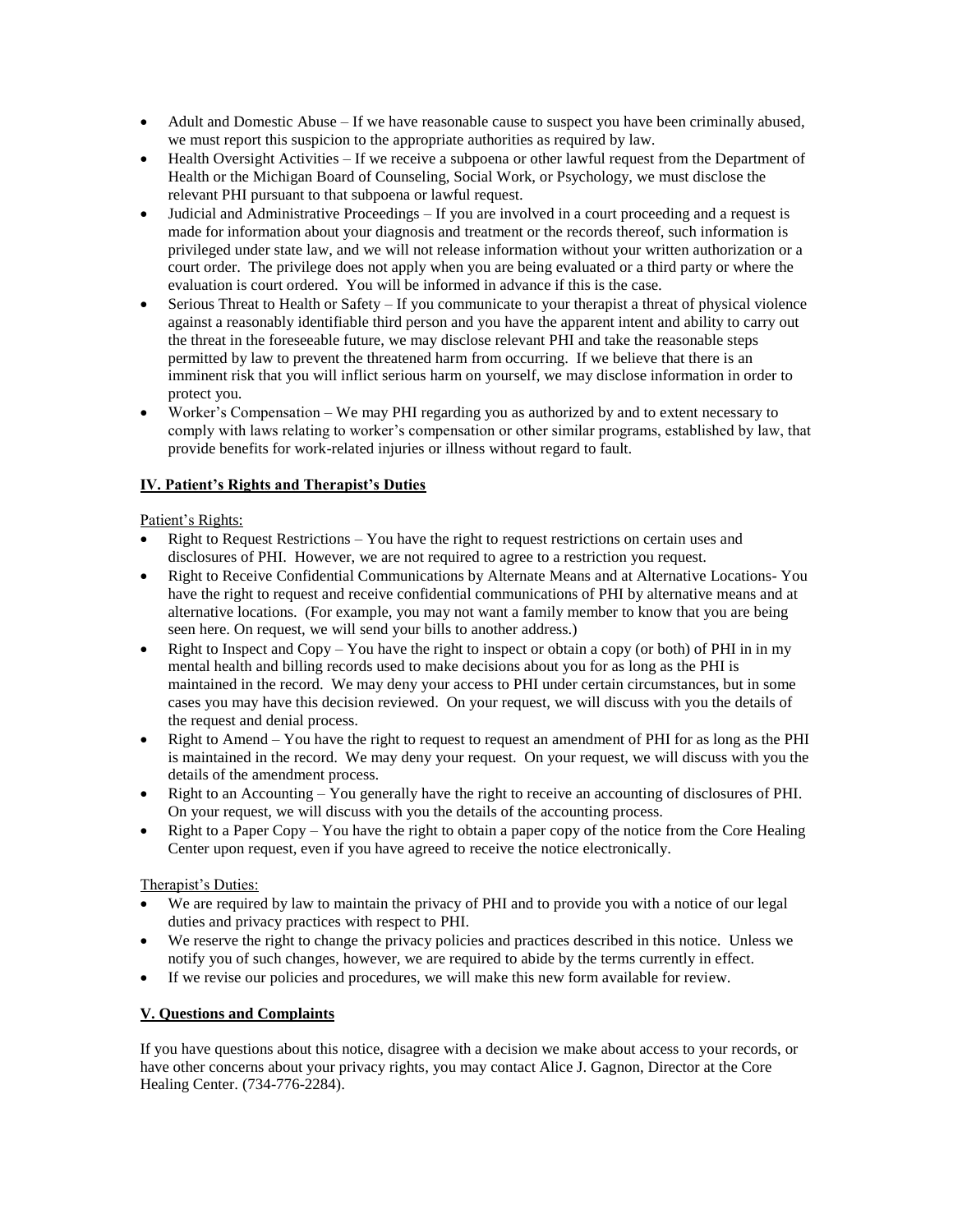- Adult and Domestic Abuse If we have reasonable cause to suspect you have been criminally abused, we must report this suspicion to the appropriate authorities as required by law.
- Health Oversight Activities If we receive a subpoena or other lawful request from the Department of Health or the Michigan Board of Counseling, Social Work, or Psychology, we must disclose the relevant PHI pursuant to that subpoena or lawful request.
- Judicial and Administrative Proceedings If you are involved in a court proceeding and a request is made for information about your diagnosis and treatment or the records thereof, such information is privileged under state law, and we will not release information without your written authorization or a court order. The privilege does not apply when you are being evaluated or a third party or where the evaluation is court ordered. You will be informed in advance if this is the case.
- $\bullet$  Serious Threat to Health or Safety If you communicate to your therapist a threat of physical violence against a reasonably identifiable third person and you have the apparent intent and ability to carry out the threat in the foreseeable future, we may disclose relevant PHI and take the reasonable steps permitted by law to prevent the threatened harm from occurring. If we believe that there is an imminent risk that you will inflict serious harm on yourself, we may disclose information in order to protect you.
- Worker's Compensation We may PHI regarding you as authorized by and to extent necessary to comply with laws relating to worker's compensation or other similar programs, established by law, that provide benefits for work-related injuries or illness without regard to fault.

## **IV. Patient's Rights and Therapist's Duties**

## Patient's Rights:

- Right to Request Restrictions You have the right to request restrictions on certain uses and disclosures of PHI. However, we are not required to agree to a restriction you request.
- Right to Receive Confidential Communications by Alternate Means and at Alternative Locations- You have the right to request and receive confidential communications of PHI by alternative means and at alternative locations. (For example, you may not want a family member to know that you are being seen here. On request, we will send your bills to another address.)
- Right to Inspect and  $Copy You$  have the right to inspect or obtain a copy (or both) of PHI in in my mental health and billing records used to make decisions about you for as long as the PHI is maintained in the record. We may deny your access to PHI under certain circumstances, but in some cases you may have this decision reviewed. On your request, we will discuss with you the details of the request and denial process.
- Right to Amend You have the right to request to request an amendment of PHI for as long as the PHI is maintained in the record. We may deny your request. On your request, we will discuss with you the details of the amendment process.
- Right to an Accounting You generally have the right to receive an accounting of disclosures of PHI. On your request, we will discuss with you the details of the accounting process.
- Right to a Paper Copy You have the right to obtain a paper copy of the notice from the Core Healing Center upon request, even if you have agreed to receive the notice electronically.

## Therapist's Duties:

- We are required by law to maintain the privacy of PHI and to provide you with a notice of our legal duties and privacy practices with respect to PHI.
- We reserve the right to change the privacy policies and practices described in this notice. Unless we notify you of such changes, however, we are required to abide by the terms currently in effect.
- If we revise our policies and procedures, we will make this new form available for review.

## **V. Questions and Complaints**

If you have questions about this notice, disagree with a decision we make about access to your records, or have other concerns about your privacy rights, you may contact Alice J. Gagnon, Director at the Core Healing Center. (734-776-2284).